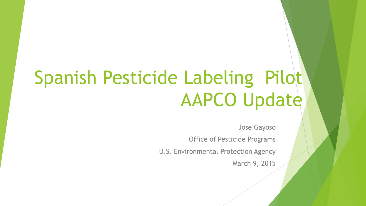# Spanish Pesticide Labeling Pilot AAPCO Update

Jose Gayoso

Office of Pesticide Programs

U.S. Environmental Protection Agency

March 9, 2015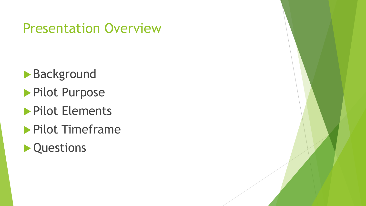### Presentation Overview

- **Background**
- Pilot Purpose
- **Pilot Elements**
- **Pilot Timeframe**
- **Cuestions**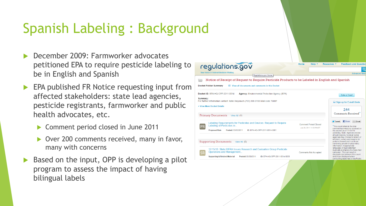## Spanish Labeling : Background

- December 2009: Farmworker advocates petitioned EPA to require pesticide labeling to be in English and Spanish
- EPA published FR Notice requesting input from affected stakeholders: state lead agencies, pesticide registrants, farmworker and public health advocates, etc.
	- ▶ Comment period closed in June 2011
	- Over 200 comments received, many in favor, many with concerns
- Based on the input, OPP is developing a pilot program to assess the impact of having bilingual labels

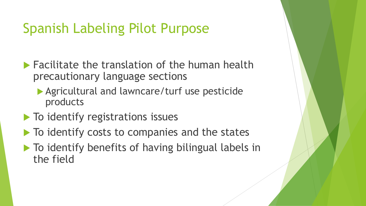## Spanish Labeling Pilot Purpose

- $\blacktriangleright$  Facilitate the translation of the human health precautionary language sections
	- Agricultural and lawncare/turf use pesticide products
- $\blacktriangleright$  To identify registrations issues
- $\blacktriangleright$  To identify costs to companies and the states
- $\blacktriangleright$  To identify benefits of having bilingual labels in the field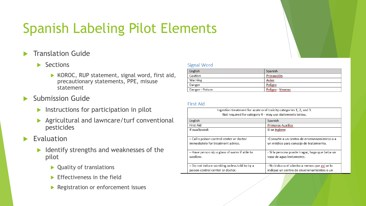## Spanish Labeling Pilot Elements

Translation Guide

### $\blacktriangleright$  Sections

- $\triangleright$  KOROC, RUP statement, signal word, first aid, precautionary statements, PPE, misuse statement
- Submission Guide
	- $\blacktriangleright$  Instructions for participation in pilot
	- Agricultural and lawncare/turf conventional pesticides

### Evaluation

- $\blacktriangleright$  Identify strengths and weaknesses of the pilot
	- ▶ Quality of translations
	- $\blacktriangleright$  Effectiveness in the field
	- **Registration or enforcement issues**

#### **Signal Word**

| English         | Spanish                                |
|-----------------|----------------------------------------|
| Caution         | Precaución<br>,,,,,,,,,,,,,,,,,,,,,,,, |
| Warning         | Aviso<br><u>www.www</u>                |
| Danger          | Peligro                                |
| Danger - Poison | Peligro - Veneno                       |

#### **First Aid**

| Ingestion treatment for acute oral toxicity categories 1, 2, and 3.<br>Not required for category $4 -$ may use statements below. |                                                |  |
|----------------------------------------------------------------------------------------------------------------------------------|------------------------------------------------|--|
| English                                                                                                                          | Spanish                                        |  |
| First Aid                                                                                                                        | <b>Primeros Auxilios</b>                       |  |
| If swallowed:                                                                                                                    | Si se ingiere:                                 |  |
| - Call a poison control center or doctor                                                                                         | -Consulte a un centro de envenenamientos o a   |  |
| immediately for treatment advice.                                                                                                | un médico para consejo de tratamiento.         |  |
| - Have person sip a glass of water if able to                                                                                    | - Si la persona puede tragar, haga que beba un |  |
| swallow.                                                                                                                         | vaso de agua lentamente.                       |  |
| - Do not induce vomiting unless told to by a                                                                                     | - No induzca el vómito a menos que asi se lo   |  |
| poison control center or doctor.                                                                                                 | indique un centro de envenenamientos o un      |  |

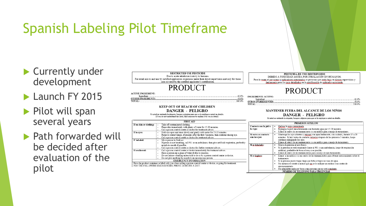## Spanish Labeling Pilot Timeframe

- ▶ Currently under development
- Launch FY 2015
- ▶ Pilot will span several years
- **Path forwarded will** be decided after evaluation of the pilot



### **PRODUCT**

42.0%

.58.0%

100.0%

**ACTIVE INGREDIENT:** Ingredient..

**OTHER INGREDIENTS** TOTAL:

#### **KEEP OUT OF REACH OF CHILDREN**

#### **DANGER - PELIGRO**

Si usted no entiende la etiqueta, busque a alguien para que se la explique a usted en detalle<br>(If you do not understand the label, find someone to explain it to you in detail.)

|                         | <b>FIRST AID</b>                                                                                                                                                             |
|-------------------------|------------------------------------------------------------------------------------------------------------------------------------------------------------------------------|
| If on skin or clothing: | Take off contaminated clothing.                                                                                                                                              |
|                         | Rinse skin immediately with plenty of water for 15-20 minutes.<br>٠                                                                                                          |
|                         | Call a poison control center or doctor for treatment advice.<br>٠                                                                                                            |
| If in eyes:             | Hold eye open and rinse slowly and gently with water for 15-20 minutes.<br>٠                                                                                                 |
|                         | Remove contact lenses, if present, after the first 5 minutes, then continue rinsing eye.<br>٠                                                                                |
|                         | Call a poison control center or doctor for treatment advice.<br>٠                                                                                                            |
| If inhaled:             | Move person to fresh air.<br>٠                                                                                                                                               |
|                         | If person is not breathing, call 911 or an ambulance, then give artificial respiration, preferably<br>٠                                                                      |
|                         | mouth-to-mouth if possible.                                                                                                                                                  |
|                         | Call a poison control center or doctor for further treatment advice.<br>٠                                                                                                    |
| If swallowed:           | Call a poison control center or doctor immediately for treatment advice.<br>٠                                                                                                |
|                         | Have a person sip a glass of water if able to swallow.<br>٠                                                                                                                  |
|                         | Do not induce vomiting unless told to do so by a poison control center or doctor.                                                                                            |
|                         | Do not give anything by mouth to an unconscious person.                                                                                                                      |
|                         | <b>EMERGENCY INFORMATION</b>                                                                                                                                                 |
|                         | Have the product container or label with you when calling a poison control center or doctor, or going for treatment.<br>FOR THE FOLLOWING EMERGENCIES, PHONE 24 HOURS A DAY: |

#### PESTICIDA DE USO RESTRINGIDO DEBIDO A TOXCIDAD AGUDA POR INHALACIÓN EN HUMANOS. Para la venta al por menor a aplicadores autorizados or personas que estén bajo su directa supervision y únicamente para los usos detallados en la certificación de aplicador autorizado

### **PRODUCT**

| <b>INGREDIENTE ACTIVO:</b> |  |
|----------------------------|--|
|                            |  |
| <b>INGREDIEN</b>           |  |
| . <del>.</del>             |  |

#### MANTENER FUERA DEL ALCANCE DE LOS NIÑOS **DANGER - PELIGRO**

Si usted no entiende la etiqueta, busque a alguien para que se la explique a usted en detalle

| PRIMEROS AUXILIOS                     |                                                                                                                                                                                                                                                                                                                                                                   |  |
|---------------------------------------|-------------------------------------------------------------------------------------------------------------------------------------------------------------------------------------------------------------------------------------------------------------------------------------------------------------------------------------------------------------------|--|
| Contacto con la piel o<br>la ropa:    | Quitese la ropa contaminada.<br>٠<br>Enjuague la piel inmediatamente con bastante agua por 15-20 minutos.<br>٠<br>Llame al centro de envenenamiento o a su médico para consejo de tratamiento.<br>٠                                                                                                                                                               |  |
| Si entra en contacto<br>con los ojos: | Mantenga los ojos abiertos y enjuage con agua lentamente, con cuidado, durante 15 a 20<br>٠<br>minutos. Si hay lentes de contacto, retirelos después de los primeros 5 minutos, luego<br>continue enjuagando los ojos.<br>Llame al centro de envenenamiento o a su médico para consejo de tratamiento.<br>٠                                                       |  |
| Si es inhalado:                       | Mueva la persona al aire fresco.<br>٠<br>Si la persona no está respirando llame al 911 o una ambulancia, luego dé respiración<br>٠<br>artificial, preferible de boca a boca, si es posible.<br>Llame al centro de envenenamientos para consejo de más tratamiento.<br>٠                                                                                           |  |
| Si se ingiere:                        | Llame a un médico o a un centro de envenenamientos para obtener asesoramiento sobre el<br>٠<br>tratamiento.<br>Si la persona puede tragar, haga que beba a tragos un vaso de agua.<br>٠<br>No induzca el vómito a menos que así se lo indique un médico o un centro de<br>٠<br>envenenamiento<br>No administre nada por boca a una persona que no está conciente. |  |
|                                       | NUMERO DE TELÉFONO PARA URGENCIAS                                                                                                                                                                                                                                                                                                                                 |  |